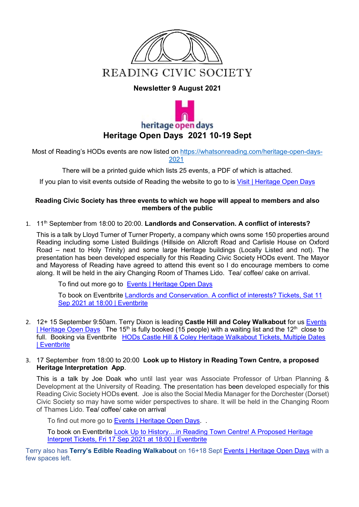

#### **Newsletter 9 August 2021**



Most of Reading's HODs events are now listed on [https://whatsonreading.com/heritage-open-days-](https://emea01.safelinks.protection.outlook.com/?url=https%3A%2F%2Fwhatsonreading.com%2Fheritage-open-days-2021&data=04%7C01%7C%7C7ce957740dca4cb97d5708d958b4c974%7C84df9e7fe9f640afb435aaaaaaaaaaaa%7C1%7C0%7C637638356182681749%7CUnknown%7CTWFpbGZsb3d8eyJWIjoiMC4wLjAwMDAiLCJQIjoiV2luMzIiLCJBTiI6Ik1haWwiLCJXVCI6Mn0%3D%7C1000&sdata=ky7u8AV68t7EcvrcTaXAfmgkPKO7wJX1kihCAa%2FAtbo%3D&reserved=0)[2021](https://emea01.safelinks.protection.outlook.com/?url=https%3A%2F%2Fwhatsonreading.com%2Fheritage-open-days-2021&data=04%7C01%7C%7C7ce957740dca4cb97d5708d958b4c974%7C84df9e7fe9f640afb435aaaaaaaaaaaa%7C1%7C0%7C637638356182681749%7CUnknown%7CTWFpbGZsb3d8eyJWIjoiMC4wLjAwMDAiLCJQIjoiV2luMzIiLCJBTiI6Ik1haWwiLCJXVCI6Mn0%3D%7C1000&sdata=ky7u8AV68t7EcvrcTaXAfmgkPKO7wJX1kihCAa%2FAtbo%3D&reserved=0)

There will be a printed guide which lists 25 events, a PDF of which is attached.

If you plan to visit events outside of Reading the website to go to is [Visit | Heritage Open Days](https://www.heritageopendays.org.uk/visiting)

#### **Reading Civic Society has three events to which we hope will appeal to members and also members of the public**

1. 11th September from 18:00 to 20:00. **Landlords and Conservation. A conflict of interests?**

This is a talk by Lloyd Turner of Turner Property, a company which owns some 150 properties around Reading including some Listed Buildings (Hillside on Allcroft Road and Carlisle House on Oxford Road – next to Holy Trinity) and some large Heritage buildings (Locally Listed and not). The presentation has been developed especially for this Reading Civic Society HODs event. The Mayor and Mayoress of Reading have agreed to attend this event so I do encourage members to come along. It will be held in the airy Changing Room of Thames Lido. Tea/ coffee/ cake on arrival.

To find out more go to [Events | Heritage Open Days](https://www.heritageopendays.org.uk/visiting/event/landlords-and-conservation-a-conflict-of-interests)

To book on Eventbrite [Landlords and Conservation. A conflict of interests? Tickets, Sat 11](https://www.eventbrite.co.uk/e/landlords-and-conservation-a-conflict-of-interests-tickets-161202413759)  [Sep 2021 at 18:00 | Eventbrite](https://www.eventbrite.co.uk/e/landlords-and-conservation-a-conflict-of-interests-tickets-161202413759)

- 2. 12+ 15 September 9:50am. Terry Dixon is leading **Castle Hill and Coley Walkabout** for us [Events](https://www.heritageopendays.org.uk/visiting/event/hods-castle-hill-coley-heritage-walkabout)  [| Heritage Open Days](https://www.heritageopendays.org.uk/visiting/event/hods-castle-hill-coley-heritage-walkabout) The 15<sup>th</sup> is fully booked (15 people) with a waiting list and the 12<sup>th</sup> close to full. Booking via Eventbrite [HODs Castle Hill & Coley Heritage Walkabout Tickets, Multiple Dates](https://www.eventbrite.co.uk/e/hods-castle-hill-coley-heritage-walkabout-tickets-161197834061)  [| Eventbrite](https://www.eventbrite.co.uk/e/hods-castle-hill-coley-heritage-walkabout-tickets-161197834061)
- 3. 17 September from 18:00 to 20:00 **Look up to History in Reading Town Centre, a proposed Heritage Interpretation App**.

This is a talk by Joe Doak who until last year was Associate Professor of Urban Planning & Development at the University of Reading. The presentation has been developed especially for this Reading Civic Society HODs event. Joe is also the Social Media Manager for the Dorchester (Dorset) Civic Society so may have some wider perspectives to share. It will be held in the Changing Room of Thames Lido. Tea/ coffee/ cake on arrival

To find out more go to [Events | Heritage Open Days.](https://www.heritageopendays.org.uk/visiting/event/looking-above-you-reading)..

To book on Eventbrite [Look Up to History....in Reading Town Centre! A Proposed Heritage](https://www.eventbrite.co.uk/e/look-up-to-historyin-reading-town-centre-a-proposed-heritage-interpret-tickets-161204201105)  [Interpret Tickets, Fri 17 Sep 2021 at 18:00 | Eventbrite](https://www.eventbrite.co.uk/e/look-up-to-historyin-reading-town-centre-a-proposed-heritage-interpret-tickets-161204201105)

Terry also has **Terry's Edible Reading Walkabout** on 16+18 Sept [Events | Heritage Open Days](https://www.heritageopendays.org.uk/visiting/event/terrys-edible-reading-walkabout) with a few spaces left.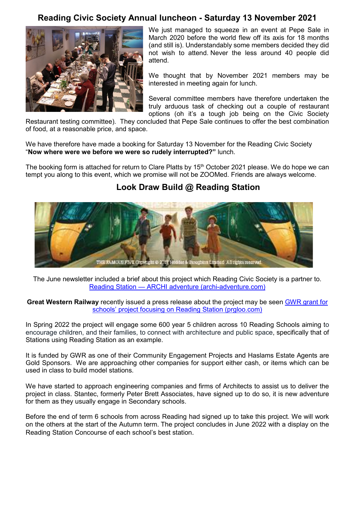### **Reading Civic Society Annual luncheon - Saturday 13 November 2021**



We just managed to squeeze in an event at Pepe Sale in March 2020 before the world flew off its axis for 18 months (and still is). Understandably some members decided they did not wish to attend. Never the less around 40 people did attend.

We thought that by November 2021 members may be interested in meeting again for lunch.

Several committee members have therefore undertaken the truly arduous task of checking out a couple of restaurant options (oh it's a tough job being on the Civic Society

Restaurant testing committee). They concluded that Pepe Sale continues to offer the best combination of food, at a reasonable price, and space.

We have therefore have made a booking for Saturday 13 November for the Reading Civic Society "**Now where were we before we were so rudely interrupted?"** lunch.

The booking form is attached for return to Clare Platts by 15<sup>th</sup> October 2021 please. We do hope we can tempt you along to this event, which we promise will not be ZOOMed. Friends are always welcome.

### **Look Draw Build @ Reading Station**



The June newsletter included a brief about this project which Reading Civic Society is a partner to. Reading Station — [ARCHI adventure \(archi-adventure.com\)](https://www.archi-adventure.com/reading-station)

**Great Western Railway** recently issued a press release about the project may be seen [GWR grant for](https://gwr-newsroom.prgloo.com/news/gwr-grant-for-schools-project-focusing-on-reading-station)  [schools' project focusing on Reading Station \(prgloo.com\)](https://gwr-newsroom.prgloo.com/news/gwr-grant-for-schools-project-focusing-on-reading-station)

In Spring 2022 the project will engage some 600 year 5 children across 10 Reading Schools aiming to encourage children, and their families, to connect with architecture and public space, specifically that of Stations using Reading Station as an example.

It is funded by GWR as one of their Community Engagement Projects and Haslams Estate Agents are Gold Sponsors. We are approaching other companies for support either cash, or items which can be used in class to build model stations.

We have started to approach engineering companies and firms of Architects to assist us to deliver the project in class. Stantec, formerly Peter Brett Associates, have signed up to do so, it is new adventure for them as they usually engage in Secondary schools.

Before the end of term 6 schools from across Reading had signed up to take this project. We will work on the others at the start of the Autumn term. The project concludes in June 2022 with a display on the Reading Station Concourse of each school's best station.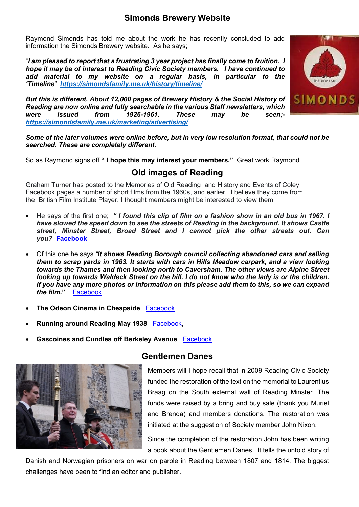Raymond Simonds has told me about the work he has recently concluded to add information the Simonds Brewery website. As he says;

"*I am pleased to report that a frustrating 3 year project has finally come to fruition. I hope it may be of interest to Reading Civic Society members. I have continued to add material to my website on a regular basis, in particular to the 'Timeline' [https://simondsfamily.me.uk/history/timeline/](https://nam12.safelinks.protection.outlook.com/?url=https%3A%2F%2Fsimondsfamily.me.uk%2Fhistory%2Ftimeline%2F&data=02%7C01%7C%7C250ba13b4fd343cea6ef08d845fbaad0%7C84df9e7fe9f640afb435aaaaaaaaaaaa%7C1%7C0%7C637336294492164930&sdata=sE1GDDvvCHwNyiDKDV4FAeaFDFTmX5zmr%2BYTaO0HQS4%3D&reserved=0)* 

*But this is different. About 12,000 pages of Brewery History & the Social History of Reading are now online and fully searchable in the various Staff newsletters, which were issued from 1926-1961. These may be seen; [https://simondsfamily.me.uk/marketing/advertising/](https://nam12.safelinks.protection.outlook.com/?url=https%3A%2F%2Fsimondsfamily.me.uk%2Fmarketing%2Fadvertising%2F&data=02%7C01%7C%7C250ba13b4fd343cea6ef08d845fbaad0%7C84df9e7fe9f640afb435aaaaaaaaaaaa%7C1%7C0%7C637336294492164930&sdata=ZzCs%2BCsRRSDyWDKN6KbqqBWmWkKvTVeDkFPLrTBWIfc%3D&reserved=0)*



*Some of the later volumes were online before, but in very low resolution format, that could not be searched. These are completely different.*

So as Raymond signs off **" I hope this may interest your members."** Great work Raymond.

## **Old images of Reading**

Graham Turner has posted to the Memories of Old Reading and History and Events of Coley Facebook pages a number of short films from the 1960s, and earlier. I believe they come from the British Film Institute Player. I thought members might be interested to view them

- He says of the first one; *" I found this clip of film on a fashion show in an old bus in 1967. I have slowed the speed down to see the streets of Reading in the background. It shows Castle street, Minster Street, Broad Street and I cannot pick the other streets out. Can you?* **[Facebook](https://www.facebook.com/graham.turner.547/videos/424204572199074)**
- Of this one he says *"It shows Reading Borough council collecting abandoned cars and selling them to scrap yards in 1963. It starts with cars in Hills Meadow carpark, and a view looking towards the Thames and then looking north to Caversham. The other views are Alpine Street looking up towards Waldeck Street on the hill. I do not know who the lady is or the children. If you have any more photos or information on this please add them to this, so we can expand the film.***"** [Facebook](https://www.facebook.com/100000688808176/videos/4369386923094225)
- **The Odeon Cinema in Cheapside** [Facebook,](https://www.facebook.com/graham.turner.547/videos/4341243602575224)
- **Running around Reading May 1938** [Facebook](https://www.facebook.com/graham.turner.547/videos/4335529669813284)**,**
- **Gascoines and Cundles off Berkeley Avenue** [Facebook](https://www.facebook.com/100000688808176/videos/3833059933393596)



### **Gentlemen Danes**

Members will I hope recall that in 2009 Reading Civic Society funded the restoration of the text on the memorial to Laurentius Braag on the South external wall of Reading Minster. The funds were raised by a bring and buy sale (thank you Muriel and Brenda) and members donations. The restoration was initiated at the suggestion of Society member John Nixon.

Since the completion of the restoration John has been writing a book about the Gentlemen Danes. It tells the untold story of

Danish and Norwegian prisoners on war on parole in Reading between 1807 and 1814. The biggest challenges have been to find an editor and publisher.